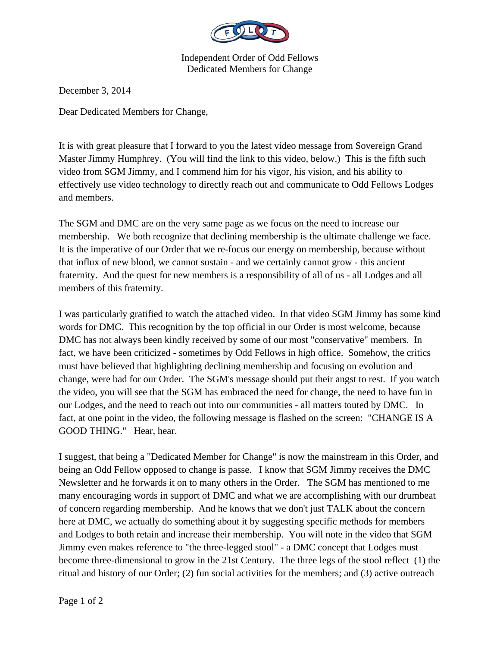

Independent Order of Odd Fellows Dedicated Members for Change

December 3, 2014

Dear Dedicated Members for Change,

It is with great pleasure that I forward to you the latest video message from Sovereign Grand Master Jimmy Humphrey. (You will find the link to this video, below.) This is the fifth such video from SGM Jimmy, and I commend him for his vigor, his vision, and his ability to effectively use video technology to directly reach out and communicate to Odd Fellows Lodges and members.

The SGM and DMC are on the very same page as we focus on the need to increase our membership. We both recognize that declining membership is the ultimate challenge we face. It is the imperative of our Order that we re-focus our energy on membership, because without that influx of new blood, we cannot sustain - and we certainly cannot grow - this ancient fraternity. And the quest for new members is a responsibility of all of us - all Lodges and all members of this fraternity.

I was particularly gratified to watch the attached video. In that video SGM Jimmy has some kind words for DMC. This recognition by the top official in our Order is most welcome, because DMC has not always been kindly received by some of our most "conservative" members. In fact, we have been criticized - sometimes by Odd Fellows in high office. Somehow, the critics must have believed that highlighting declining membership and focusing on evolution and change, were bad for our Order. The SGM's message should put their angst to rest. If you watch the video, you will see that the SGM has embraced the need for change, the need to have fun in our Lodges, and the need to reach out into our communities - all matters touted by DMC. In fact, at one point in the video, the following message is flashed on the screen: "CHANGE IS A GOOD THING." Hear, hear.

I suggest, that being a "Dedicated Member for Change" is now the mainstream in this Order, and being an Odd Fellow opposed to change is passe. I know that SGM Jimmy receives the DMC Newsletter and he forwards it on to many others in the Order. The SGM has mentioned to me many encouraging words in support of DMC and what we are accomplishing with our drumbeat of concern regarding membership. And he knows that we don't just TALK about the concern here at DMC, we actually do something about it by suggesting specific methods for members and Lodges to both retain and increase their membership. You will note in the video that SGM Jimmy even makes reference to "the three-legged stool" - a DMC concept that Lodges must become three-dimensional to grow in the 21st Century. The three legs of the stool reflect (1) the ritual and history of our Order; (2) fun social activities for the members; and (3) active outreach